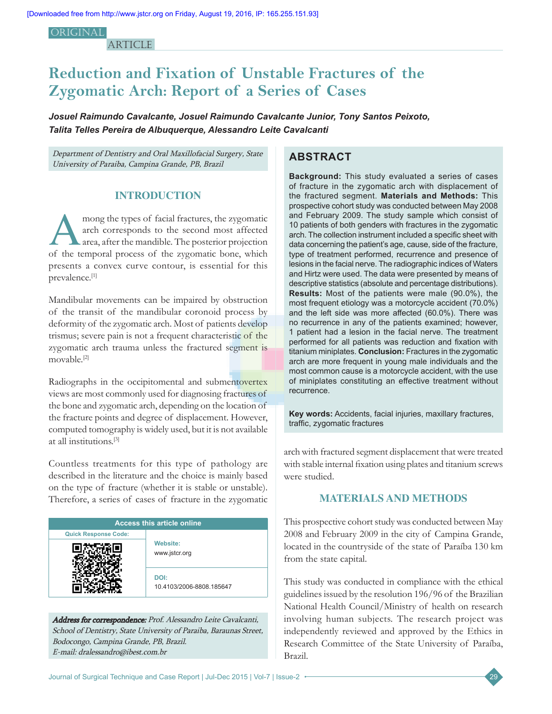**ORIGINAL** 

**ARTICLE** 

# **Reduction and Fixation of Unstable Fractures of the Zygomatic Arch: Report of a Series of Cases**

*Josuel Raimundo Cavalcante, Josuel Raimundo Cavalcante Junior, Tony Santos Peixoto, Talita Telles Pereira de Albuquerque, Alessandro Leite Cavalcanti*

Department of Dentistry and Oral Maxillofacial Surgery, State University of Paraiba, Campina Grande, PB, Brazil

### **INTRODUCTION**

mong the types of facial fractures, the zygomatic<br>
area, after the mandible. The posterior projection<br>
of the temperal areases of the groenesis base, which arch corresponds to the second most affected of the temporal process of the zygomatic bone, which presents a convex curve contour, is essential for this prevalence.[1]

Mandibular movements can be impaired by obstruction of the transit of the mandibular coronoid process by deformity of the zygomatic arch. Most of patients develop trismus; severe pain is not a frequent characteristic of the zygomatic arch trauma unless the fractured segment is movable.[2]

Radiographs in the occipitomental and submentovertex views are most commonly used for diagnosing fractures of the bone and zygomatic arch, depending on the location of the fracture points and degree of displacement. However, computed tomography is widely used, but it is not available at all institutions.[3]

Countless treatments for this type of pathology are described in the literature and the choice is mainly based on the type of fracture (whether it is stable or unstable). Therefore, a series of cases of fracture in the zygomatic

| <b>Access this article online</b> |                                  |  |  |  |  |  |
|-----------------------------------|----------------------------------|--|--|--|--|--|
| <b>Quick Response Code:</b>       |                                  |  |  |  |  |  |
|                                   | <b>Website:</b><br>www.jstcr.org |  |  |  |  |  |
|                                   | DOI:<br>10.4103/2006-8808.185647 |  |  |  |  |  |

Address for correspondence: Prof. Alessandro Leite Cavalcanti, School of Dentistry, State University of Paraiba, Baraunas Street, Bodocongo, Campina Grande, PB, Brazil. E‑mail: dralessandro@ibest.com.br

# **ABSTRACT**

**Background:** This study evaluated a series of cases of fracture in the zygomatic arch with displacement of the fractured segment. **Materials and Methods:** This prospective cohort study was conducted between May 2008 and February 2009. The study sample which consist of 10 patients of both genders with fractures in the zygomatic arch. The collection instrument included a specific sheet with data concerning the patient's age, cause, side of the fracture, type of treatment performed, recurrence and presence of lesions in the facial nerve. The radiographic indices of Waters and Hirtz were used. The data were presented by means of descriptive statistics (absolute and percentage distributions). **Results:** Most of the patients were male (90.0%), the most frequent etiology was a motorcycle accident (70.0%) and the left side was more affected (60.0%). There was no recurrence in any of the patients examined; however, 1 patient had a lesion in the facial nerve. The treatment performed for all patients was reduction and fixation with titanium miniplates. **Conclusion:** Fractures in the zygomatic arch are more frequent in young male individuals and the most common cause is a motorcycle accident, with the use of miniplates constituting an effective treatment without recurrence.

**Key words:** Accidents, facial injuries, maxillary fractures, traffic, zygomatic fractures

arch with fractured segment displacement that were treated with stable internal fixation using plates and titanium screws were studied.

## **MATERIALS AND METHODS**

This prospective cohort study was conducted between May 2008 and February 2009 in the city of Campina Grande, located in the countryside of the state of Paraíba 130 km from the state capital.

This study was conducted in compliance with the ethical guidelines issued by the resolution 196/96 of the Brazilian National Health Council/Ministry of health on research involving human subjects. The research project was independently reviewed and approved by the Ethics in Research Committee of the State University of Paraíba, Brazil.

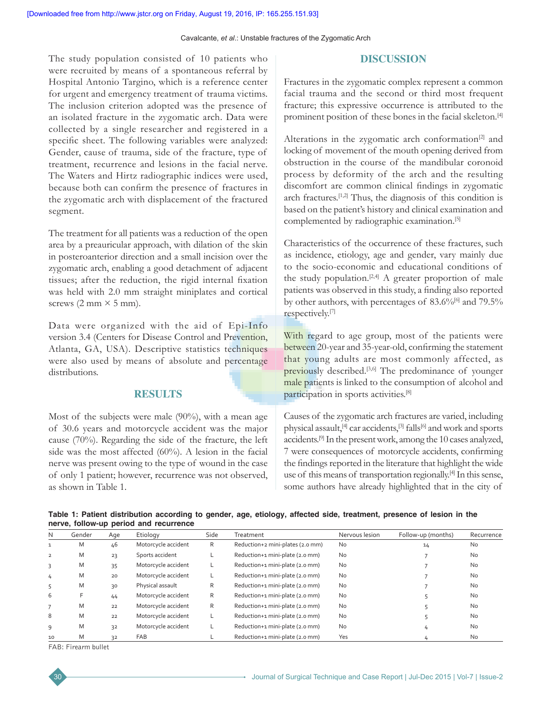Cavalcante, *et al*.: Unstable fractures of the Zygomatic Arch

#### **DISCUSSION**

The study population consisted of 10 patients who were recruited by means of a spontaneous referral by Hospital Antonio Targino, which is a reference center for urgent and emergency treatment of trauma victims. The inclusion criterion adopted was the presence of an isolated fracture in the zygomatic arch. Data were collected by a single researcher and registered in a specific sheet. The following variables were analyzed: Gender, cause of trauma, side of the fracture, type of treatment, recurrence and lesions in the facial nerve. The Waters and Hirtz radiographic indices were used, because both can confirm the presence of fractures in the zygomatic arch with displacement of the fractured segment.

The treatment for all patients was a reduction of the open area by a preauricular approach, with dilation of the skin in posteroanterior direction and a small incision over the zygomatic arch, enabling a good detachment of adjacent tissues; after the reduction, the rigid internal fixation was held with 2.0 mm straight miniplates and cortical screws  $(2 \text{ mm} \times 5 \text{ mm})$ .

Data were organized with the aid of Epi-Info version 3.4 (Centers for Disease Control and Prevention, Atlanta, GA, USA). Descriptive statistics techniques were also used by means of absolute and percentage distributions.

# **RESULTS**

Most of the subjects were male (90%), with a mean age of 30.6 years and motorcycle accident was the major cause (70%). Regarding the side of the fracture, the left side was the most affected (60%). A lesion in the facial nerve was present owing to the type of wound in the case of only 1 patient; however, recurrence was not observed, as shown in Table 1.

Fractures in the zygomatic complex represent a common facial trauma and the second or third most frequent fracture; this expressive occurrence is attributed to the prominent position of these bones in the facial skeleton.[4]

Alterations in the zygomatic arch conformation $[2]$  and locking of movement of the mouth opening derived from obstruction in the course of the mandibular coronoid process by deformity of the arch and the resulting discomfort are common clinical findings in zygomatic arch fractures.[1,2] Thus, the diagnosis of this condition is based on the patient's history and clinical examination and complemented by radiographic examination.[5]

Characteristics of the occurrence of these fractures, such as incidence, etiology, age and gender, vary mainly due to the socio-economic and educational conditions of the study population.<sup>[2,4]</sup> A greater proportion of male patients was observed in this study, a finding also reported by other authors, with percentages of 83.6%<sup>[6]</sup> and 79.5% respectively.[7]

With regard to age group, most of the patients were between 20-year and 35-year-old, confirming the statement that young adults are most commonly affected, as previously described.<sup>[3,6]</sup> The predominance of younger male patients is linked to the consumption of alcohol and participation in sports activities.[8]

Causes of the zygomatic arch fractures are varied, including physical assault,<sup>[4]</sup> car accidents,<sup>[3]</sup> falls<sup>[6]</sup> and work and sports accidents.[9] In the present work, among the 10 cases analyzed, 7 were consequences of motorcycle accidents, confirming the findings reported in the literature that highlight the wide use of this means of transportation regionally.[4] In this sense, some authors have already highlighted that in the city of

|  |                                        | Table 1: Patient distribution according to gender, age, etiology, affected side, treatment, presence of lesion in the |  |  |  |  |  |
|--|----------------------------------------|-----------------------------------------------------------------------------------------------------------------------|--|--|--|--|--|
|  | nerve, follow-up period and recurrence |                                                                                                                       |  |  |  |  |  |

| N              | Gender | Age | Etiology            | Side | Treatment                        | Nervous lesion | Follow-up (months) | Recurrence |
|----------------|--------|-----|---------------------|------|----------------------------------|----------------|--------------------|------------|
|                | Μ      | 46  | Motorcycle accident | R    | Reduction+2 mini-plates (2.0 mm) | <b>No</b>      | 14                 | No         |
| $\overline{2}$ | M      | 23  | Sports accident     |      | Reduction+1 mini-plate (2.0 mm)  | <b>No</b>      |                    | <b>No</b>  |
| 3              | M      | 35  | Motorcycle accident |      | Reduction+1 mini-plate (2.0 mm)  | <b>No</b>      |                    | <b>No</b>  |
| 4              | M      | 20  | Motorcycle accident |      | Reduction+1 mini-plate (2.0 mm)  | <b>No</b>      |                    | <b>No</b>  |
| 5              | M      | 30  | Physical assault    | R    | Reduction+1 mini-plate (2.0 mm)  | <b>No</b>      |                    | <b>No</b>  |
| 6              | F      | 44  | Motorcycle accident | R    | Reduction+1 mini-plate (2.0 mm)  | <b>No</b>      |                    | <b>No</b>  |
|                | M      | 22  | Motorcycle accident | R    | Reduction+1 mini-plate (2.0 mm)  | <b>No</b>      |                    | <b>No</b>  |
| 8              | M      | 22  | Motorcycle accident |      | Reduction+1 mini-plate (2.0 mm)  | <b>No</b>      |                    | <b>No</b>  |
| 9              | Μ      | 32  | Motorcycle accident |      | Reduction+1 mini-plate (2.0 mm)  | <b>No</b>      |                    | No         |
| 10             | M      | 32  | <b>FAB</b>          |      | Reduction+1 mini-plate (2.0 mm)  | Yes            |                    | <b>No</b>  |

FAB: Firearm bullet